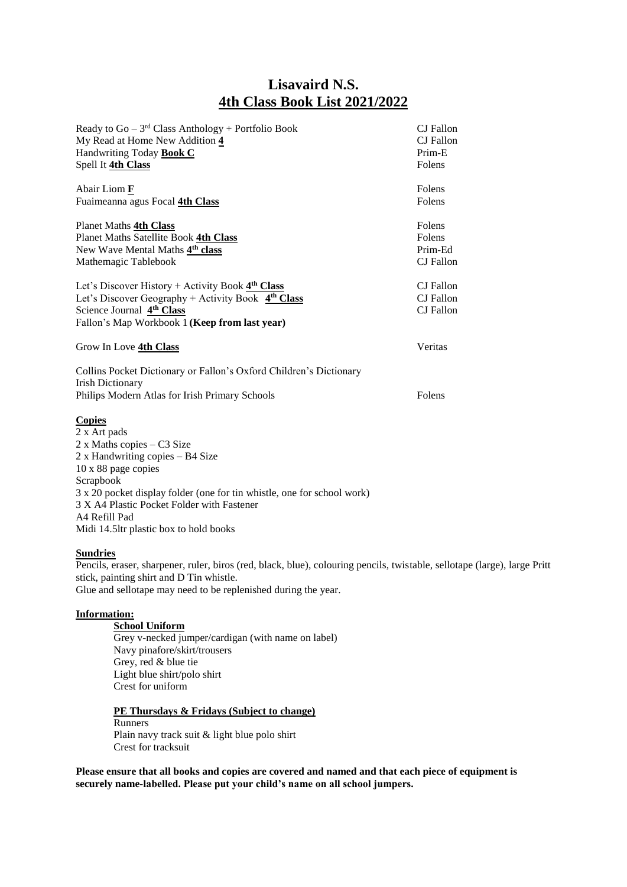## **Lisavaird N.S. 4th Class Book List 2021/2022**

| Ready to $Go - 3rd Class Anthology + Portfolio Book$<br>My Read at Home New Addition 4<br>Handwriting Today <b>Book C</b><br>Spell It 4th Class                                                                                                                                                                         | CJ Fallon<br>CJ Fallon<br>Prim-E<br>Folens |
|-------------------------------------------------------------------------------------------------------------------------------------------------------------------------------------------------------------------------------------------------------------------------------------------------------------------------|--------------------------------------------|
| Abair Liom F<br>Fuaimeanna agus Focal 4th Class                                                                                                                                                                                                                                                                         | Folens<br>Folens                           |
| Planet Maths 4th Class<br>Planet Maths Satellite Book 4th Class<br>New Wave Mental Maths 4th class<br>Mathemagic Tablebook                                                                                                                                                                                              | Folens<br>Folens<br>Prim-Ed<br>CJ Fallon   |
| Let's Discover History + Activity Book $4th Class$<br>Let's Discover Geography + Activity Book $4th Class$<br>Science Journal 4 <sup>th</sup> Class<br>Fallon's Map Workbook 1 (Keep from last year)                                                                                                                    | CJ Fallon<br>CJ Fallon<br>CJ Fallon        |
| Grow In Love 4th Class                                                                                                                                                                                                                                                                                                  | Veritas                                    |
| Collins Pocket Dictionary or Fallon's Oxford Children's Dictionary<br><b>Irish Dictionary</b><br>Philips Modern Atlas for Irish Primary Schools                                                                                                                                                                         | Folens                                     |
| <b>Copies</b><br>2 x Art pads<br>2 x Maths copies - C3 Size<br>2 x Handwriting copies – B4 Size<br>10 x 88 page copies<br>Scrapbook<br>3 x 20 pocket display folder (one for tin whistle, one for school work)<br>3 X A4 Plastic Pocket Folder with Fastener<br>A4 Refill Pad<br>Midi 14.5ltr plastic box to hold books |                                            |

## **Sundries**

Pencils, eraser, sharpener, ruler, biros (red, black, blue), colouring pencils, twistable, sellotape (large), large Pritt stick, painting shirt and D Tin whistle. Glue and sellotape may need to be replenished during the year.

## **Information:**

**School Uniform**  Grey v-necked jumper/cardigan (with name on label) Navy pinafore/skirt/trousers Grey, red & blue tie Light blue shirt/polo shirt Crest for uniform

## **PE Thursdays & Fridays (Subject to change)**

Runners Plain navy track suit & light blue polo shirt Crest for tracksuit

**Please ensure that all books and copies are covered and named and that each piece of equipment is securely name-labelled. Please put your child's name on all school jumpers.**